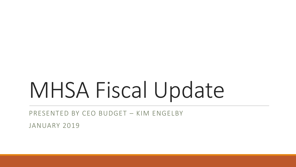# MHSA Fiscal Update

PRESENTED BY CEO BUDGET – KIM ENGELBY

JANUARY 2019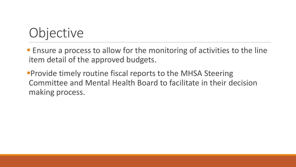## **Objective**

**Ensure a process to allow for the monitoring of activities to the line** item detail of the approved budgets.

**Provide timely routine fiscal reports to the MHSA Steering** Committee and Mental Health Board to facilitate in their decision making process.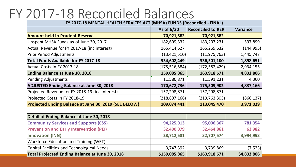#### FY 2017-18 Reconciled Balances

| FY 2017-18 MENTAL HEALTH SERVICES ACT (MHSA) FUNDS (Reconciled - FINAL) |                 |                          |                 |  |
|-------------------------------------------------------------------------|-----------------|--------------------------|-----------------|--|
|                                                                         | As of 6/30      | <b>Reconciled to RER</b> | <b>Variance</b> |  |
| <b>Amount held in Prudent Reserve</b>                                   | 70,921,582      | 70,921,582               |                 |  |
| Unspent MHSA Funds as of June 30, 2017                                  | 182,609,332     | 183, 207, 231            | 597,899         |  |
| Actual Revenue for FY 2017-18 (inc interest)                            | 165,414,627     | 165,269,632              | (144, 995)      |  |
| <b>Prior Period Adjustments</b>                                         | (13, 421, 510)  | (11, 975, 763)           | 1,445,747       |  |
| <b>Total Funds Available for FY 2017-18</b>                             | 334,602,449     | 336,501,100              | 1,898,651       |  |
| Actual Costs in FY 2017-18                                              | (175,516,584)   | (172,582,429)            | 2,934,155       |  |
| <b>Ending Balance at June 30, 2018</b>                                  | 159,085,865     | 163,918,671              | 4,832,806       |  |
| Pending Adjustments                                                     | 11,586,871      | 11,591,231               | 4,360           |  |
| <b>ADJUSTED Ending Balance at June 30, 2018</b>                         | 170,672,736     | 175,509,902              | 4,837,166       |  |
| Projected Revenue for FY 2018-19 (inc interest)                         | 157,298,871     | 157,298,871              |                 |  |
| Projected Costs in FY 2018-19                                           | (218, 897, 166) | (219,763,303)            | (866, 137)      |  |
| Projected Ending Balance at June 30, 2019 (SEE BELOW)                   | 109,074,441     | 113,045,470              | 3,971,029       |  |
|                                                                         |                 |                          |                 |  |
| Detail of Ending Balance at June 30, 2018                               |                 |                          |                 |  |
| <b>Community Services and Supports (CSS)</b>                            | 94,225,013      | 95,006,367               | 781,354         |  |
| <b>Prevention and Early Intervention (PEI)</b>                          | 32,400,879      | 32,464,861               | 63,982          |  |
| <b>Innovation (INN)</b>                                                 | 28,712,581      | 32,707,574               | 3,994,993       |  |
| Workforce Education and Training (WET)                                  |                 |                          |                 |  |
| Capital Facilities and Technological Needs                              | 3,747,392       | 3,739,869                | (7, 523)        |  |
| <b>Total Projected Ending Balance at June 30, 2018</b>                  | \$159,085,865   | \$163,918,671            | \$4,832,806     |  |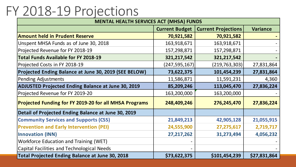#### FY 2018-19 Projections

| <b>MENTAL HEALTH SERVICES ACT (MHSA) FUNDS</b>                |                       |                            |                 |  |
|---------------------------------------------------------------|-----------------------|----------------------------|-----------------|--|
|                                                               | <b>Current Budget</b> | <b>Current Projections</b> | <b>Variance</b> |  |
| <b>Amount held in Prudent Reserve</b>                         | 70,921,582            | 70,921,582                 |                 |  |
| Unspent MHSA Funds as of June 30, 2018                        | 163,918,671           | 163,918,671                |                 |  |
| Projected Revenue for FY 2018-19                              | 157,298,871           | 157,298,871                |                 |  |
| <b>Total Funds Available for FY 2018-19</b>                   | 321,217,542           | 321,217,542                |                 |  |
| Projected Costs in FY 2018-19                                 | (247, 595, 167)       | (219,763,303)              | 27,831,864      |  |
| Projected Ending Balance at June 30, 2019 (SEE BELOW)         | 73,622,375            | 101,454,239                | 27,831,864      |  |
| Pending Adjustments                                           | 11,586,871            | 11,591,231                 | 4,360           |  |
| <b>ADJUSTED Projected Ending Balance at June 30, 2019</b>     | 85,209,246            | 113,045,470                | 27,836,224      |  |
| Projected Revenue for FY 2019-20                              | 163,200,000           | 163,200,000                |                 |  |
| <b>Projected Funding for FY 2019-20 for all MHSA Programs</b> | 248,409,246           | 276,245,470                | 27,836,224      |  |
| Detail of Projected Ending Balance at June 30, 2019           |                       |                            |                 |  |
| <b>Community Services and Supports (CSS)</b>                  | 21,849,213            | 42,905,128                 | 21,055,915      |  |
| <b>Prevention and Early Intervention (PEI)</b>                | 24,555,900            | 27,275,617                 | 2,719,717       |  |
| <b>Innovation (INN)</b>                                       | 27,217,262            | 31,273,494                 | 4,056,232       |  |
| Workforce Education and Training (WET)                        |                       |                            |                 |  |
| Capital Facilities and Technological Needs                    |                       |                            |                 |  |
| <b>Total Projected Ending Balance at June 30, 2018</b>        | \$73,622,375          | \$101,454,239              | \$27,831,864    |  |